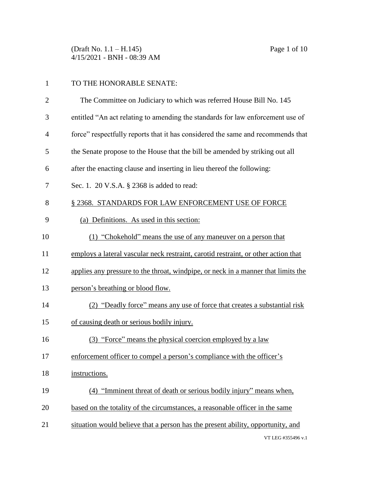(Draft No. 1.1 – H.145) Page 1 of 10 4/15/2021 - BNH - 08:39 AM

 The Committee on Judiciary to which was referred House Bill No. 145 entitled "An act relating to amending the standards for law enforcement use of force" respectfully reports that it has considered the same and recommends that the Senate propose to the House that the bill be amended by striking out all after the enacting clause and inserting in lieu thereof the following: Sec. 1. 20 V.S.A. § 2368 is added to read: 8 § 2368. STANDARDS FOR LAW ENFORCEMENT USE OF FORCE (a) Definitions. As used in this section: (1) "Chokehold" means the use of any maneuver on a person that employs a lateral vascular neck restraint, carotid restraint, or other action that applies any pressure to the throat, windpipe, or neck in a manner that limits the person's breathing or blood flow. (2) "Deadly force" means any use of force that creates a substantial risk of causing death or serious bodily injury. (3) "Force" means the physical coercion employed by a law enforcement officer to compel a person's compliance with the officer's instructions. (4) "Imminent threat of death or serious bodily injury" means when, based on the totality of the circumstances, a reasonable officer in the same situation would believe that a person has the present ability, opportunity, and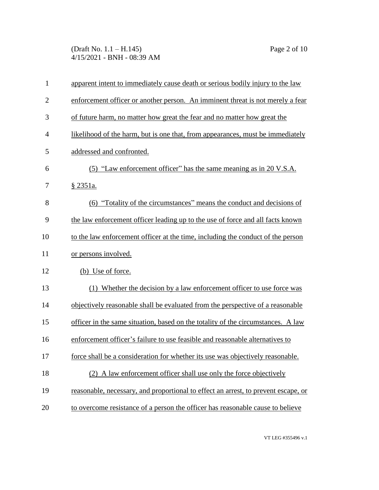(Draft No. 1.1 – H.145) Page 2 of 10 4/15/2021 - BNH - 08:39 AM

| $\mathbf{1}$   | apparent intent to immediately cause death or serious bodily injury to the law     |
|----------------|------------------------------------------------------------------------------------|
| $\overline{2}$ | enforcement officer or another person. An imminent threat is not merely a fear     |
| 3              | of future harm, no matter how great the fear and no matter how great the           |
| $\overline{4}$ | likelihood of the harm, but is one that, from appearances, must be immediately     |
| 5              | addressed and confronted.                                                          |
| 6              | (5) "Law enforcement officer" has the same meaning as in 20 V.S.A.                 |
| 7              | <u>§ 2351a.</u>                                                                    |
| 8              | (6) "Totality of the circumstances" means the conduct and decisions of             |
| 9              | the law enforcement officer leading up to the use of force and all facts known     |
| 10             | to the law enforcement officer at the time, including the conduct of the person    |
| 11             | or persons involved.                                                               |
| 12             | (b) Use of force.                                                                  |
| 13             | (1) Whether the decision by a law enforcement officer to use force was             |
| 14             | objectively reasonable shall be evaluated from the perspective of a reasonable     |
| 15             | officer in the same situation, based on the totality of the circumstances. A law   |
| 16             | enforcement officer's failure to use feasible and reasonable alternatives to       |
| 17             | force shall be a consideration for whether its use was objectively reasonable.     |
| 18             | (2) A law enforcement officer shall use only the force objectively                 |
| 19             | reasonable, necessary, and proportional to effect an arrest, to prevent escape, or |
| 20             | to overcome resistance of a person the officer has reasonable cause to believe     |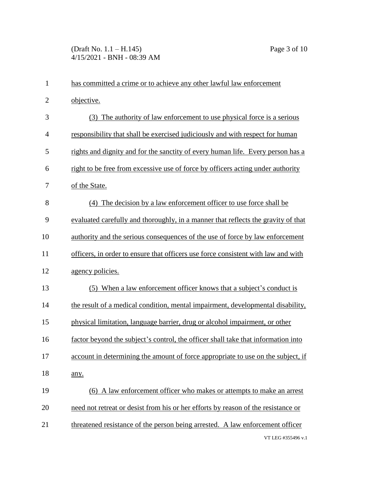## (Draft No. 1.1 – H.145) Page 3 of 10 4/15/2021 - BNH - 08:39 AM

| $\mathbf{1}$   | has committed a crime or to achieve any other lawful law enforcement              |
|----------------|-----------------------------------------------------------------------------------|
| $\overline{2}$ | objective.                                                                        |
| 3              | The authority of law enforcement to use physical force is a serious<br>(3)        |
| $\overline{4}$ | responsibility that shall be exercised judiciously and with respect for human     |
| 5              | rights and dignity and for the sanctity of every human life. Every person has a   |
| 6              | right to be free from excessive use of force by officers acting under authority   |
| 7              | of the State.                                                                     |
| 8              | (4) The decision by a law enforcement officer to use force shall be               |
| 9              | evaluated carefully and thoroughly, in a manner that reflects the gravity of that |
| 10             | authority and the serious consequences of the use of force by law enforcement     |
| 11             | officers, in order to ensure that officers use force consistent with law and with |
| 12             | agency policies.                                                                  |
| 13             | (5) When a law enforcement officer knows that a subject's conduct is              |
| 14             | the result of a medical condition, mental impairment, developmental disability,   |
| 15             | physical limitation, language barrier, drug or alcohol impairment, or other       |
| 16             | factor beyond the subject's control, the officer shall take that information into |
| 17             | account in determining the amount of force appropriate to use on the subject, if  |
| 18             | any.                                                                              |
| 19             | (6) A law enforcement officer who makes or attempts to make an arrest             |
| 20             | need not retreat or desist from his or her efforts by reason of the resistance or |
| 21             | threatened resistance of the person being arrested. A law enforcement officer     |
|                | VT LEG #355496 v.1                                                                |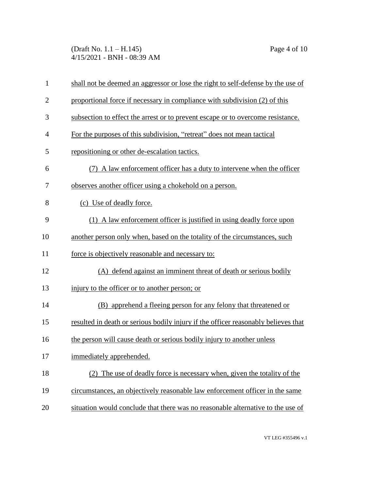(Draft No. 1.1 – H.145) Page 4 of 10 4/15/2021 - BNH - 08:39 AM

| $\mathbf{1}$   | shall not be deemed an aggressor or lose the right to self-defense by the use of   |
|----------------|------------------------------------------------------------------------------------|
| $\overline{2}$ | proportional force if necessary in compliance with subdivision (2) of this         |
| 3              | subsection to effect the arrest or to prevent escape or to overcome resistance.    |
| $\overline{4}$ | For the purposes of this subdivision, "retreat" does not mean tactical             |
| 5              | repositioning or other de-escalation tactics.                                      |
| 6              | (7) A law enforcement officer has a duty to intervene when the officer             |
| 7              | observes another officer using a chokehold on a person.                            |
| 8              | (c) Use of deadly force.                                                           |
| 9              | (1) A law enforcement officer is justified in using deadly force upon              |
| 10             | another person only when, based on the totality of the circumstances, such         |
| 11             | force is objectively reasonable and necessary to:                                  |
| 12             | (A) defend against an imminent threat of death or serious bodily                   |
| 13             | injury to the officer or to another person; or                                     |
| 14             | (B) apprehend a fleeing person for any felony that threatened or                   |
| 15             | resulted in death or serious bodily injury if the officer reasonably believes that |
| 16             | the person will cause death or serious bodily injury to another unless             |
| 17             | immediately apprehended.                                                           |
| 18             | (2) The use of deadly force is necessary when, given the totality of the           |
| 19             | circumstances, an objectively reasonable law enforcement officer in the same       |
| 20             | situation would conclude that there was no reasonable alternative to the use of    |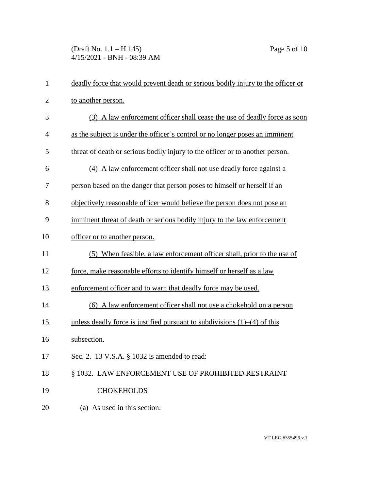(Draft No. 1.1 – H.145) Page 5 of 10 4/15/2021 - BNH - 08:39 AM

| $\mathbf{1}$   | deadly force that would prevent death or serious bodily injury to the officer or |
|----------------|----------------------------------------------------------------------------------|
| $\overline{2}$ | to another person.                                                               |
| 3              | (3) A law enforcement officer shall cease the use of deadly force as soon        |
| $\overline{4}$ | as the subject is under the officer's control or no longer poses an imminent     |
| 5              | threat of death or serious bodily injury to the officer or to another person.    |
| 6              | (4) A law enforcement officer shall not use deadly force against a               |
| 7              | person based on the danger that person poses to himself or herself if an         |
| 8              | objectively reasonable officer would believe the person does not pose an         |
| 9              | imminent threat of death or serious bodily injury to the law enforcement         |
| 10             | officer or to another person.                                                    |
| 11             | (5) When feasible, a law enforcement officer shall, prior to the use of          |
| 12             | force, make reasonable efforts to identify himself or herself as a law           |
| 13             | enforcement officer and to warn that deadly force may be used.                   |
| 14             | (6) A law enforcement officer shall not use a chokehold on a person              |
| 15             | unless deadly force is justified pursuant to subdivisions $(1)$ – $(4)$ of this  |
| 16             | subsection.                                                                      |
| 17             | Sec. 2. 13 V.S.A. § 1032 is amended to read:                                     |
| 18             | § 1032. LAW ENFORCEMENT USE OF PROHIBITED RESTRAINT                              |
| 19             | <b>CHOKEHOLDS</b>                                                                |
| 20             | (a) As used in this section:                                                     |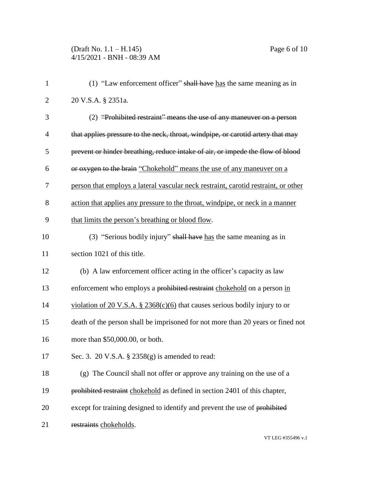## (Draft No. 1.1 – H.145) Page 6 of 10 4/15/2021 - BNH - 08:39 AM

| $\mathbf{1}$   | (1) "Law enforcement officer" shall have has the same meaning as in                |
|----------------|------------------------------------------------------------------------------------|
| $\overline{2}$ | 20 V.S.A. § 2351a.                                                                 |
| 3              | (2) "Prohibited restraint" means the use of any maneuver on a person               |
| $\overline{4}$ | that applies pressure to the neck, throat, windpipe, or carotid artery that may    |
| 5              | prevent or hinder breathing, reduce intake of air, or impede the flow of blood     |
| 6              | or oxygen to the brain "Chokehold" means the use of any maneuver on a              |
| 7              | person that employs a lateral vascular neck restraint, carotid restraint, or other |
| 8              | action that applies any pressure to the throat, windpipe, or neck in a manner      |
| 9              | that limits the person's breathing or blood flow.                                  |
| 10             | (3) "Serious bodily injury" shall have has the same meaning as in                  |
| 11             | section 1021 of this title.                                                        |
| 12             | (b) A law enforcement officer acting in the officer's capacity as law              |
| 13             | enforcement who employs a prohibited restraint chokehold on a person in            |
| 14             | violation of 20 V.S.A. § 2368(c)(6) that causes serious bodily injury to or        |
| 15             | death of the person shall be imprisoned for not more than 20 years or fined not    |
| 16             | more than \$50,000.00, or both.                                                    |
| 17             | Sec. 3. 20 V.S.A. $\S$ 2358(g) is amended to read:                                 |
| 18             | (g) The Council shall not offer or approve any training on the use of a            |
| 19             | prohibited restraint chokehold as defined in section 2401 of this chapter,         |
| 20             | except for training designed to identify and prevent the use of prohibited         |
| 21             | restraints chokeholds.                                                             |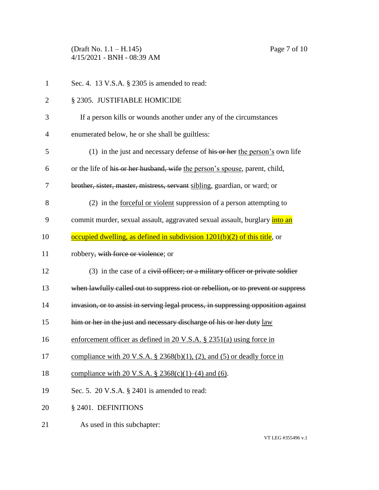(Draft No. 1.1 – H.145) Page 7 of 10 4/15/2021 - BNH - 08:39 AM

| $\mathbf{1}$   | Sec. 4. 13 V.S.A. § 2305 is amended to read:                                           |
|----------------|----------------------------------------------------------------------------------------|
| $\overline{2}$ | § 2305. JUSTIFIABLE HOMICIDE                                                           |
| 3              | If a person kills or wounds another under any of the circumstances                     |
| $\overline{4}$ | enumerated below, he or she shall be guiltless:                                        |
| 5              | (1) in the just and necessary defense of $\overline{his}$ or her the person's own life |
| 6              | or the life of his or her husband, wife the person's spouse, parent, child,            |
| 7              | brother, sister, master, mistress, servant sibling, guardian, or ward; or              |
| 8              | (2) in the <u>forceful or violent</u> suppression of a person attempting to            |
| 9              | commit murder, sexual assault, aggravated sexual assault, burglary <i>into an</i>      |
| 10             | occupied dwelling, as defined in subdivision 1201(b)(2) of this title, or              |
| 11             | robbery, with force or violence; or                                                    |
| 12             | $(3)$ in the case of a eivil officer; or a military officer or private soldier         |
| 13             | when lawfully called out to suppress riot or rebellion, or to prevent or suppress      |
| 14             | invasion, or to assist in serving legal process, in suppressing opposition against     |
| 15             | him or her in the just and necessary discharge of his or her duty law                  |
| 16             | enforcement officer as defined in 20 V.S.A. $\S$ 2351(a) using force in                |
| 17             | compliance with 20 V.S.A. § 2368(b)(1), (2), and (5) or deadly force in                |
| 18             | compliance with 20 V.S.A. § 2368(c)(1)–(4) and (6).                                    |
| 19             | Sec. 5. 20 V.S.A. § 2401 is amended to read:                                           |
| 20             | § 2401. DEFINITIONS                                                                    |
| 21             | As used in this subchapter:                                                            |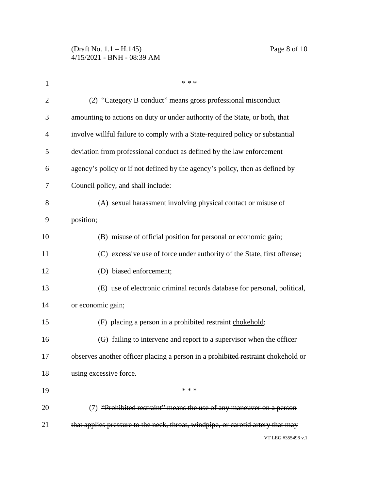| $\mathbf{1}$   | * * *                                                                            |
|----------------|----------------------------------------------------------------------------------|
| $\overline{2}$ | (2) "Category B conduct" means gross professional misconduct                     |
| 3              | amounting to actions on duty or under authority of the State, or both, that      |
| $\overline{4}$ | involve willful failure to comply with a State-required policy or substantial    |
| 5              | deviation from professional conduct as defined by the law enforcement            |
| 6              | agency's policy or if not defined by the agency's policy, then as defined by     |
| 7              | Council policy, and shall include:                                               |
| 8              | (A) sexual harassment involving physical contact or misuse of                    |
| 9              | position;                                                                        |
| 10             | (B) misuse of official position for personal or economic gain;                   |
| 11             | (C) excessive use of force under authority of the State, first offense;          |
| 12             | (D) biased enforcement;                                                          |
| 13             | (E) use of electronic criminal records database for personal, political,         |
| 14             | or economic gain;                                                                |
| 15             | (F) placing a person in a prohibited restraint chokehold;                        |
| 16             | (G) failing to intervene and report to a supervisor when the officer             |
| 17             | observes another officer placing a person in a prohibited restraint chokehold or |
| 18             | using excessive force.                                                           |
| 19             | * * *                                                                            |
| 20             | (7) "Prohibited restraint" means the use of any maneuver on a person             |
| 21             | that applies pressure to the neck, throat, windpipe, or carotid artery that may  |
|                | VT LEG #355496 v.1                                                               |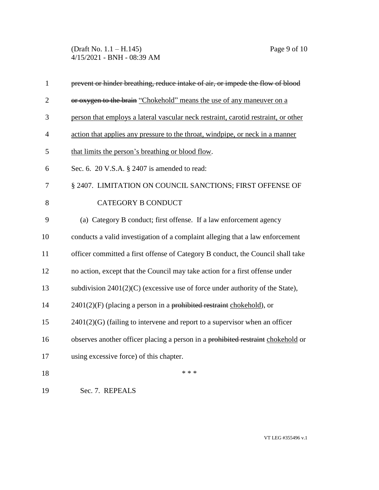(Draft No. 1.1 – H.145) Page 9 of 10 4/15/2021 - BNH - 08:39 AM

| $\mathbf{1}$   | prevent or hinder breathing, reduce intake of air, or impede the flow of blood     |
|----------------|------------------------------------------------------------------------------------|
| $\mathbf{2}$   | or oxygen to the brain "Chokehold" means the use of any maneuver on a              |
| 3              | person that employs a lateral vascular neck restraint, carotid restraint, or other |
| $\overline{4}$ | action that applies any pressure to the throat, windpipe, or neck in a manner      |
| 5              | that limits the person's breathing or blood flow.                                  |
| 6              | Sec. 6. 20 V.S.A. § 2407 is amended to read:                                       |
| 7              | § 2407. LIMITATION ON COUNCIL SANCTIONS; FIRST OFFENSE OF                          |
| 8              | <b>CATEGORY B CONDUCT</b>                                                          |
| 9              | (a) Category B conduct; first offense. If a law enforcement agency                 |
| 10             | conducts a valid investigation of a complaint alleging that a law enforcement      |
| 11             | officer committed a first offense of Category B conduct, the Council shall take    |
| 12             | no action, except that the Council may take action for a first offense under       |
| 13             | subdivision $2401(2)(C)$ (excessive use of force under authority of the State),    |
| 14             | $2401(2)(F)$ (placing a person in a prohibited restraint chokehold), or            |
| 15             | $2401(2)(G)$ (failing to intervene and report to a supervisor when an officer      |
| 16             | observes another officer placing a person in a prohibited restraint chokehold or   |
| 17             | using excessive force) of this chapter.                                            |
| 18             | * * *                                                                              |
| 19             | Sec. 7. REPEALS                                                                    |